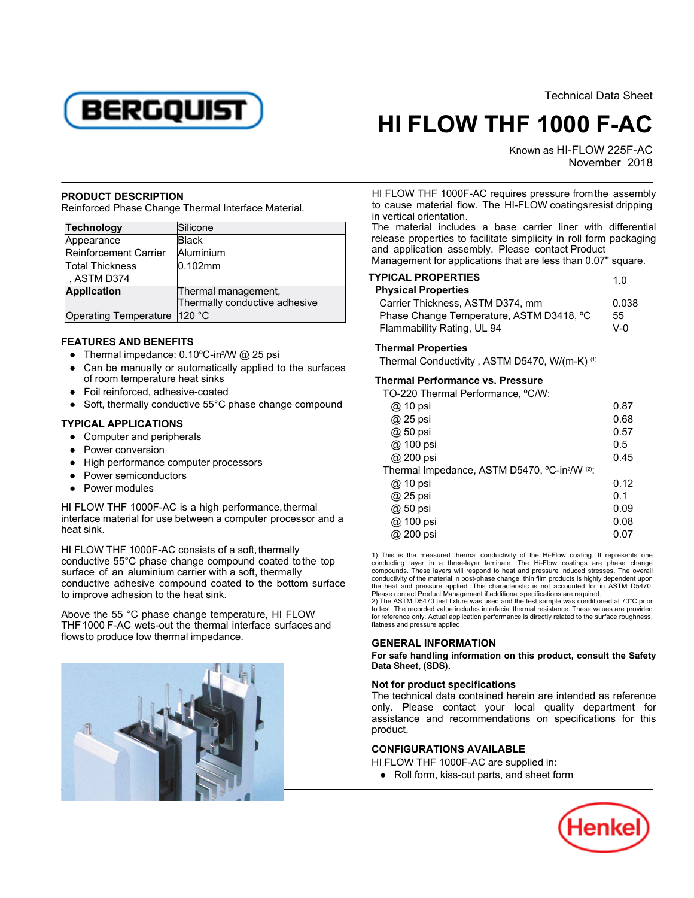BERGQUIST

Technical Data Sheet

1.0

# **HI FLOW THF 1000 F-AC**

Known as HI-FLOW 225F-AC November -2018

## **PRODUCT DESCRIPTION**

Reinforced Phase Change Thermal Interface Material.

| <b>Technology</b>     | Silicone                      |
|-----------------------|-------------------------------|
| Appearance            | <b>Black</b>                  |
| Reinforcement Carrier | Aluminium                     |
| Total Thickness       | $0.102$ mm                    |
| , ASTM D374           |                               |
| <b>Application</b>    | Thermal management,           |
|                       | Thermally conductive adhesive |
| Operating Temperature | 120 °C                        |

## **FEATURES AND BENEFITS**

- Thermal impedance: 0.10°C-in<sup>2</sup>/W @ 25 psi
- Can be manually or automatically applied to the surfaces of room temperature heat sinks
- Foil reinforced, adhesive-coated
- Soft, thermally conductive 55°C phase change compound

# **TYPICAL APPLICATIONS**

- Computer and peripherals
- Power conversion
- High performance computer processors
- Power semiconductors
- Power modules

HI FLOW THF 1000F-AC is a high performance, thermal in i EOW THE 10001-AO is a high performance, incrination and a heat sink.

HI FLOW THF 1000F-AC consists of a soft, thermally conductive 55°C phase change compound coated tothe top surface of an aluminium carrier with a soft, thermally conductive adhesive compound coated to the bottom surface to improve adhesion to the heat sink.

Above the 55 °C phase change temperature, HI FLOW THF1000 F-AC wets-out the thermal interface surfaces and flowsto produce low thermal impedance.



HI FLOW THF 1000F-AC requires pressure fromthe assembly th r LOW The Tooch World countries pressure nomine assembly<br>to cause material flow. The HI-FLOW coatings resist dripping in vertical orientation.

In verlied onemation.<br>The material includes a base carrier liner with differential ric material includes a base cannot line with differential<br>release properties to facilitate simplicity in roll form packaging and application assembly. Please contact Product

Management for applications that are less than 0.07'' square.

#### **TYPICAL PROPERTIESPhysical Properties**

| PIIVSICAI PIODEI LIES                    |            |  |
|------------------------------------------|------------|--|
| Carrier Thickness, ASTM D374, mm         |            |  |
| Phase Change Temperature, ASTM D3418, °C |            |  |
| Flammability Rating, UL 94               | <u>v-ก</u> |  |

### **Thermal Properties**

Thermal Conductivity , ASTM D5470, W/(m-K) (1)

## **Thermal Performance vs. Pressure**

| TO-220 Thermal Performance, °C/W:                                     |      |
|-----------------------------------------------------------------------|------|
| @ 10 psi                                                              | 0.87 |
| @ 25 psi                                                              | 0.68 |
| @ 50 psi                                                              | 0.57 |
| @ 100 psi                                                             | 0.5  |
| @ 200 psi                                                             | 0.45 |
| Thermal Impedance, ASTM D5470, °C-in <sup>2</sup> /W <sup>(2)</sup> : |      |
| @ 10 psi                                                              | 0.12 |
| @ 25 psi                                                              | 0.1  |
| @ 50 psi                                                              | 0.09 |
| @ 100 psi                                                             | 0.08 |
| @ 200 psi                                                             | 0.07 |
|                                                                       |      |

1) This is the measured thermal conductivity of the Hi-Flow coating. It represents one conducting layer in a three-layer laminate. The Hi-Flow coatings are phase change compounds. These layers will respond to heat and pres conductivity of the material in post-phase change, thin film products is highly dependent uponthe heat and pressure applied. This characteristic is not accounted for in ASTM D5470.Please contact Product Management if additional specifications are required.

2) The ASTM D5470 test fixture was used and the test sample was conditioned at 70°C prior to test. The recorded value includes interfacial thermal resistance. These values are provided for reference only. Actual application performance is directly related to the surface roughness, flatness and pressure applied.

### **GENERAL INFORMATION**

**For safe handling information on this product, consult the Safety Data Sheet, (SDS).**

# **Not for product specifications**

The technical data contained herein are intended as reference only. Please contact your local quality department for assistance and recommendations on specifications for this product.

### **CONFIGURATIONS AVAILABLE**

HI FLOW THF 1000F-AC are supplied in:

● Roll form, kiss-cut parts, and sheet form